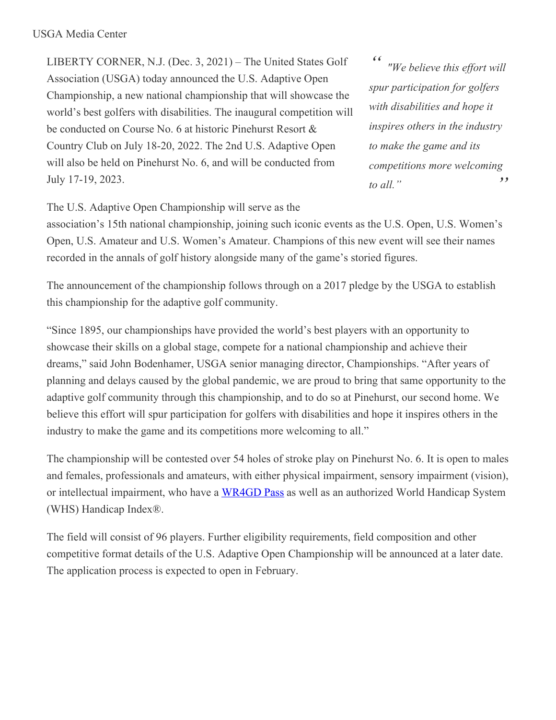LIBERTY CORNER, N.J. (Dec. 3, 2021) – The United States Golf Association (USGA) today announced the U.S. Adaptive Open Championship, a new national championship that will showcase the world's best golfers with disabilities. The inaugural competition will be conducted on Course No. 6 at historic Pinehurst Resort & Country Club on July 18-20, 2022. The 2nd U.S. Adaptive Open will also be held on Pinehurst No. 6, and will be conducted from July 17-19, 2023.

*" " "We believe this ef ort will spur participation for golfers with disabilities and hope it inspires others in the industry to make the game and its competitions more welcoming to all."*

The U.S. Adaptive Open Championship will serve as the

association's 15th national championship, joining such iconic events as the U.S. Open, U.S. Women's Open, U.S. Amateur and U.S. Women's Amateur. Champions of this new event will see their names recorded in the annals of golf history alongside many of the game's storied figures.

The announcement of the championship follows through on a 2017 pledge by the USGA to establish this championship for the adaptive golf community.

"Since 1895, our championships have provided the world's best players with an opportunity to showcase their skills on a global stage, compete for a national championship and achieve their dreams," said John Bodenhamer, USGA senior managing director, Championships. "After years of planning and delays caused by the global pandemic, we are proud to bring that same opportunity to the adaptive golf community through this championship, and to do so at Pinehurst, our second home. We believe this effort will spur participation for golfers with disabilities and hope it inspires others in the industry to make the game and its competitions more welcoming to all."

The championship will be contested over 54 holes of stroke play on Pinehurst No. 6. It is open to males and females, professionals and amateurs, with either physical impairment, sensory impairment (vision), or intellectual impairment, who have a [WR4GD](https://nam12.safelinks.protection.outlook.com/?url=https%3A%2F%2Fedgagolf.com%2Fonline%2Fpass%2Fpass_info.php&data=04%7C01%7CJGeske%40USGA.org%7C41451429cc27444c894308d9b66e4285%7C17abf7083a064391bdbd06808d1b9f81%7C0%7C0%7C637741406950362884%7CUnknown%7CTWFpbGZsb3d8eyJWIjoiMC4wLjAwMDAiLCJQIjoiV2luMzIiLCJBTiI6Ik1haWwiLCJXVCI6Mn0%3D%7C3000&sdata=p9ECfexM8cHdclGtHedj8WZj6MF78bxBMSCHqZeqXbM%3D&reserved=0) Pass as well as an authorized World Handicap System (WHS) Handicap Index®.

The field will consist of 96 players. Further eligibility requirements, field composition and other competitive format details of the U.S. Adaptive Open Championship will be announced at a later date. The application process is expected to open in February.